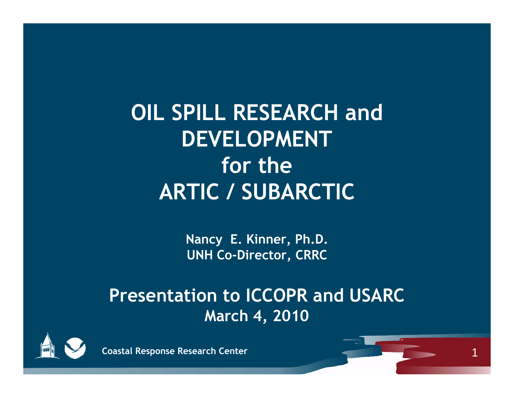**OIL SPILL RESEARCH and DEVELOPMENT for theARTIC / SUBARCTIC**

> **Nancy E. Kinner, Ph.D. UNH Co-Director, CRRC**

#### **Presentation to ICCOPR and USARC March 4 , 2010**



**Coastal Response Research Center**

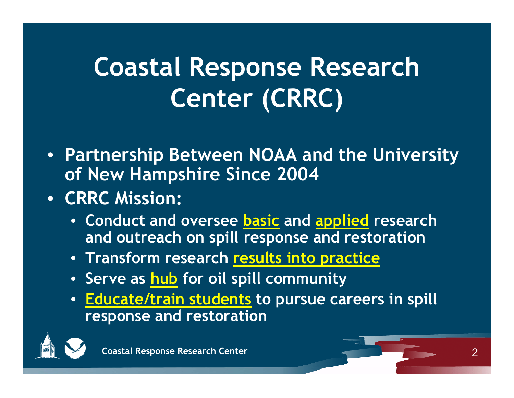# **Coastal Response Research Center (CRRC)**

- **Partnership Between NOAA and the University of New Hampshire Since 2004**
- **CRRC Mission:**
	- **Conduct and oversee basic and applied research and outreach on spill response and restoration**
	- **Transform research results into practice**
	- **S erve as h bu b f il ill it for oil spill communit y**
	- **Educate/train students to pursue careers in spill res ponse and restoration**



2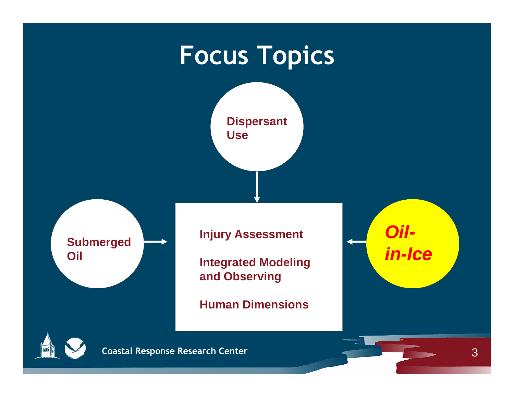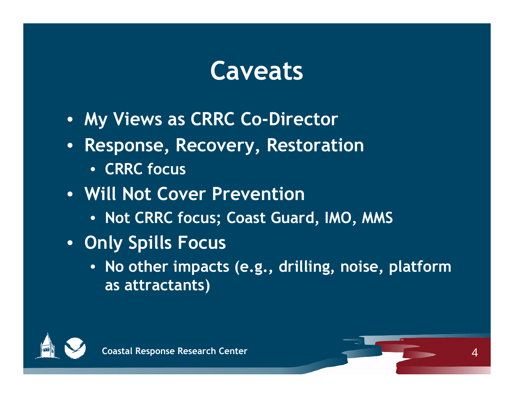#### **Caveats**

- **My Views as CRRC Co-Director**
- **Response, Recovery, Restoration**
	- **CRRC focus**
- **Will Not Cover Prevention**
	- **Not CRRC focus; ,, Coast Guard, IMO, MMS**
- **Only Spills Focus**
	- **No other imp ( g , g, , p acts (e.g., drilling, noise, platform as attractants)**



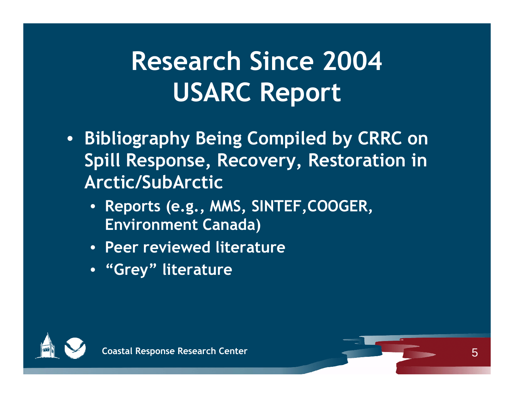# **Research Since 2004 USARC Report**

- **Bibliography Being Compiled by CRRC on Spill Response, Recovery, Restoration in Arctic/SubArctic**
	- **Reports (e.g., MMS, SINTEF,COOGER, Environment Canada)**
	- **Peer reviewed literature**
	- **"Grey literature "**



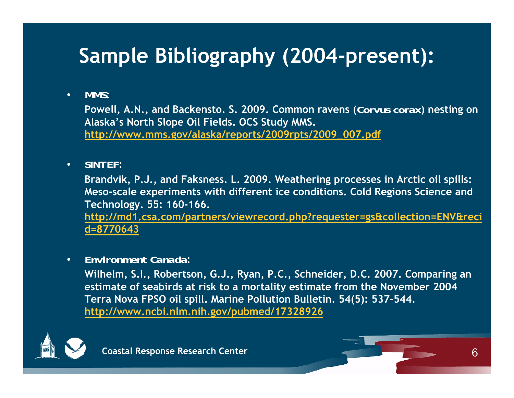#### **Sample Bibliography (2004-present):**

#### $\bullet$ *MMS***:**

**Powell, A.N., and Backensto. S. 2009. Common ravens (***Corvus corax***) nesting on Alaska s North Slope Oil Fields 's North Oil OCS Study MMS . OCS MMS. http://www.mms.gov/alaska/reports/2009rpts/2009\_007.pdf**

#### •*SINTEF***:**

**Brandvik, P.J., and Faksness. L. 2009. Weathering processes in Arctic oil spills: Meso-scale experiments with different ice conditions. Cold Regions Science and Technology. 55: 160-166. http://md1.csa.com/partners/viewrecord.php?requester=gs&collection=ENV&reci d=8770643**

#### •*Environment Canada***:**

Wilhelm, S.I., Robertson, G.J., Ryan, P.C., Schneider, D.C. 2007. Comparing an **estimate of seabirds at risk to a mortality estimate from the November 2004 Terra Nova FPSO oil spill. Marine Pollution Bulletin. 54(5): 537-544. http://www.ncbi.nlm.nih.gov/pubmed/17328926**

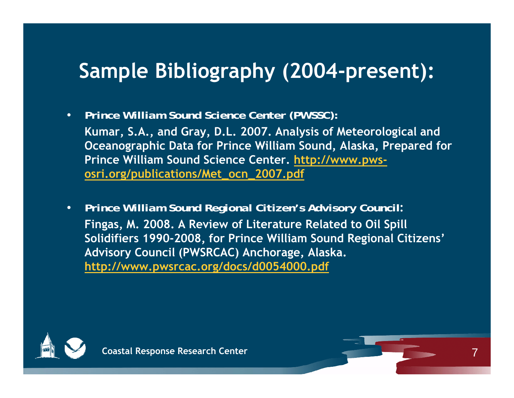#### **Sample Bibliography (2004 -present):**

 $\bullet$ *Prince William Sound Science Center (PWSSC):*

**Kumar, S.A., and Gray, D.L. 2007. Analysis of Meteorological and Oceanographic Data for Prince William Sound, Alaska, Prepared for Prince William Sound Science Center. http://www.pwsosri org/publications/Met ocn 2007 pdf osri.org/publications/Met \_ \_ 2007.pdf**

 $\bullet$  *Prince William Sound Regional Citizen's Advisory Council***: Fingas, M. 2008. A Review of Literature Related to Oil Spill Solidifiers 1990-2008, for Prince William Sound Regional Citizens' Advisory Council (PWSRCAC) Anchorage, Alaska. http://www.pwsrcac.org/docs/d0054000.pdf**



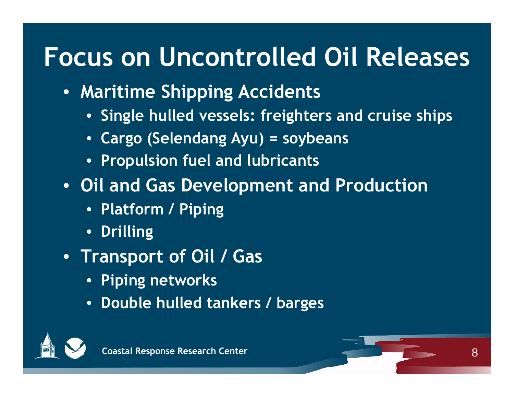## **Focus on Uncontrolled Oil Releases**

- **Maritime Shipping Accidents**
	- **•** Single hulled vessels: freighters and cruise ships
	- **Cargo (Selendang Ayu) = soybeans**
	- **Propulsion fuel and lubricants**
- **Oil and Gas Development and Production**
	- **Platform / Piping**
	- $\bullet$ **Drilling**
- **Transport of Oil / Gas**
	- **Piping networks**
	- $\bullet$ **Double hulled tankers / barges**



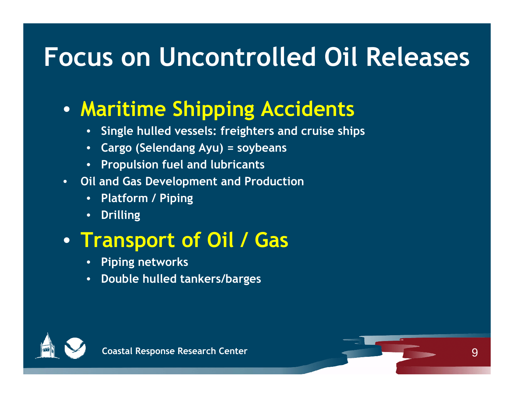## **Focus on Uncontrolled Oil Releases**

#### • **Maritime Shipping Accidents**

- •**Single hulled vessels: freighters and cruise ships**
- **Cargo (Selendang Ayu) = soybeans**
- **Propulsion fuel and lubricants**
- • **Oil and Gas Development and Production**
	- •**Platform / Piping**
	- •**Drilling**

#### • **Transport of Oil / Gas**

- •**Piping networks**
- **Double hulled tankers/barges**



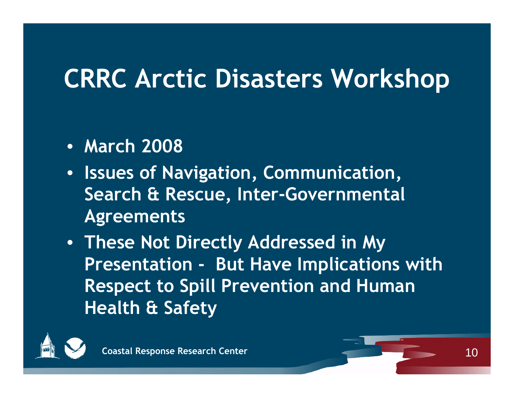# **CRRC Arctic Disasters Workshop**

- **March 2008**
- **Issues of Navigation Communication , , Search & Rescue, Inter-Governmental A greements**
- **These Not Directly Addressed in My Presentation - But Have Im plications with Respect to Spill Prevention and Human Health & Safety**



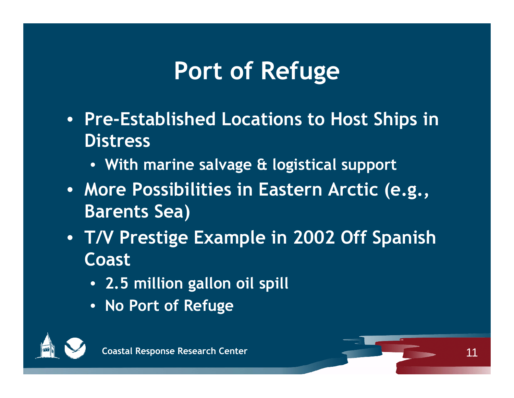### **Port of Refuge**

- **Pre-Established Locations to Host Ships in Distress**
	- **With marine salvage & logistical support**
- **More Possibilities in Eastern Arctic (e.g., Barents Sea)**
- **T/V Prestige Example in 2002 Off Spanish Coast**
	- **2.5 million gallon oil spill**
	- **No Port of Refuge**

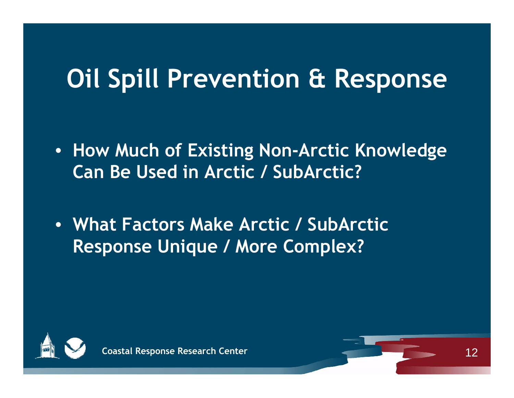# **Oil S ill P ti & R pill Prevention Response**

- **How Much of Existing Non-Arctic Knowledge Can Be Used in Arctic / SubArctic?**
- **What Factors Make Arctic / SubArctic Response Unique / More Complex?**



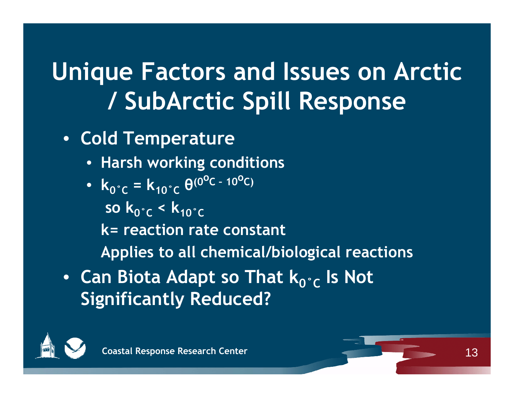- **Cold Temperature**
	- **Harsh working conditions**
	- $k_0^{\circ}c = k_{10}^{\circ}c \ \theta^{(0^{\circ}C 10^{\circ}C)}$ 
		- **so k 0˚C < k10˚C**
		- **k= reaction rate constant**

**Applies to all chemical/biological reactions**

• Can Biota Adapt so That  $\mathsf{k}_{\mathsf{0}^{\circ}\mathsf{C}}$  Is Not **Significantly Reduced?**



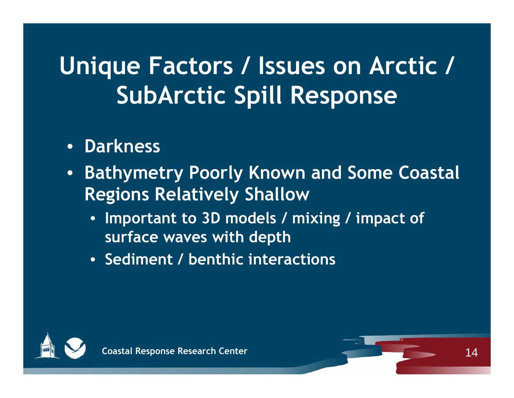- **Darkness**
- $\bullet$  **Bathymetry Poorly Known and Some Coastal Regions Relatively Shallow**
	- Important to 3D models / mixing / impact of **surface waves with depth**
	- **Sediment / benthic interactions**



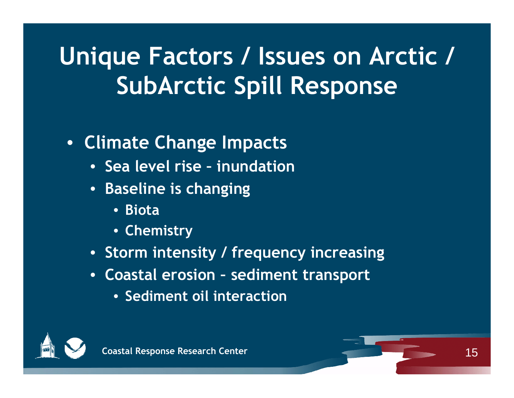#### • **Climate Change Impacts**

- **Sea level rise – inundation**
- **Baseline is changing**
	- **Biota**
	- **Chemistry**
- **Storm intensity / frequency increasing**
- **Coastal erosion – sediment transport**
	- **Sediment oil interaction**



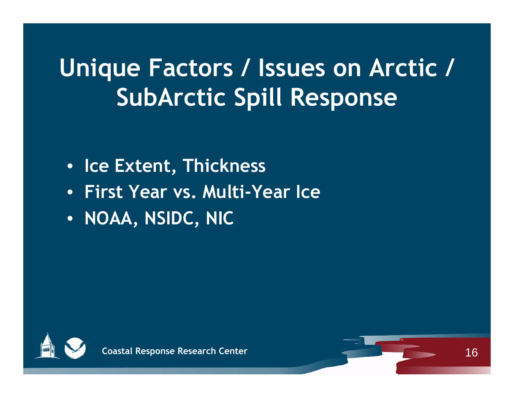- **Ice Extent , Thickness**
- **First Year vs. Multi-Year Ice**
- **NOAA, NSIDC, NIC**



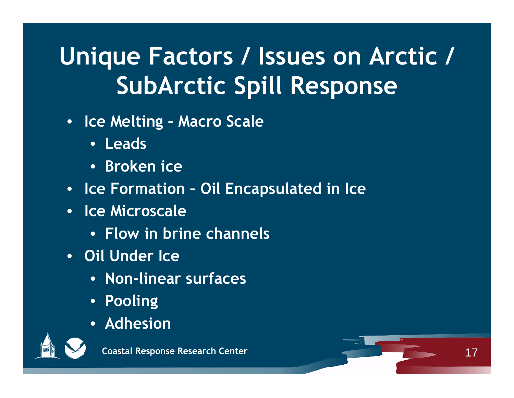- **Ice Melting – Macro Scale**
	- **Leads**
	- **Broken ice**
- **Ice Formation – Oil Encapsulated in Ice**
- **Ice Microscale**
	- **Flow in brine channels**
- **Oil Under Ice**
	- •**Non-li f near sur faces**
	- **Pooling**
	- **Adhesion**



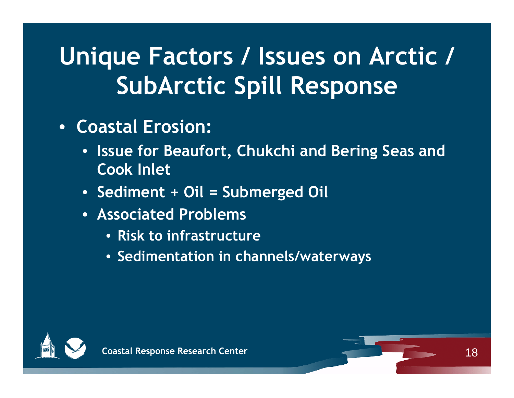- **Coastal Erosion:**
	- **Issue for Beaufort, Chukchi and Bering Seas and Cook Inlet**
	- **Sediment + Oil = Submerged Oil**
	- **Associated Problems**
		- **Risk to infrastructure**
		- **Sedimentation in channels/waterways**



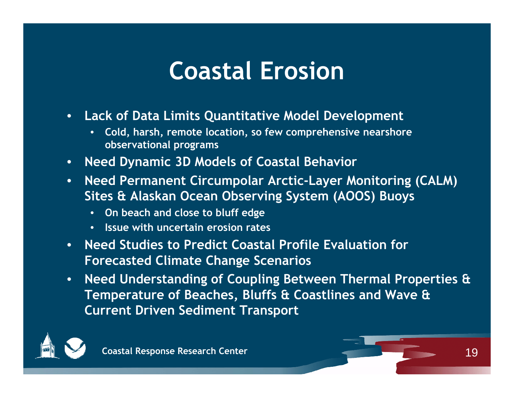#### **Coastal Erosion**

- $\bullet$  **Lack of Data Limits Quantitative Model Development**
	- **Cold, harsh, remote location, so few comprehensive nearshore observational programs**
- $\bullet$ **Need Dynamic 3D Models of Coastal Behavior**
- $\bullet$  **Need Permanent Circumpolar Arctic-Layer Monitoring (CALM) Sites & Alaskan Ocean Observing System (AOOS) Buoys**
	- **On beach and close to bluff edge**
	- **Issue i h i i with uncertain erosion rates**
- • **Need Studies to Predict Coastal Profile Evaluation for Forecasted Climate Change Scenarios**
- $\bullet$  **Need Understanding of Coupling Between Thermal Properties & Temperature of Beaches, Bluffs & Coastlines and Wave & Current Driven Sediment Transport**

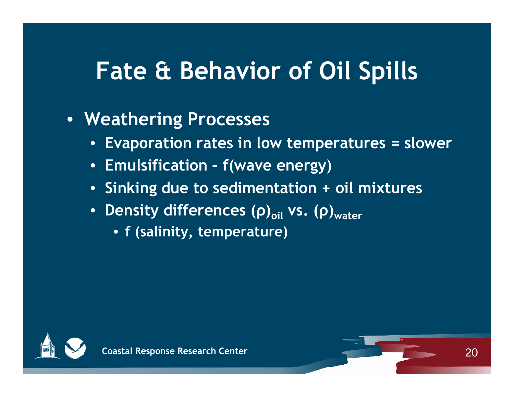#### **Fate & Behavior of Oil Spills**

#### • **Weathering Processes**

- **Evaporation rates in low temperatures = slower**
- **Emulsification – f ( gy) wave energy)**
- **Sinking due to sedimentation + oil mixtures**
- Density differences (ρ)<sub>oil</sub> vs. (ρ)<sub>water</sub>
	- **f (salinity, temperature)**



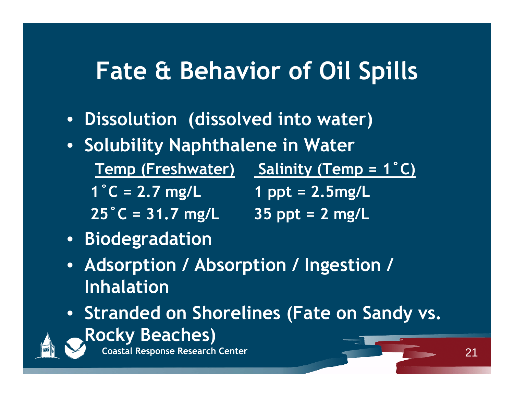#### **Fate & Behavior of Oil Spills**

- **Dissolution (dissolved into water)**
- **Solubility Naphthalene in Water**

**Temp (Freshwater) Salinity (Temp Salinity (Temp 1 <sup>=</sup> ˚C)**

**1 ˚C = 2.7 mg/L 1 ppt = 2.5mg/L**

**25 ˚C = 31.7 mg/L 35 ppt = 2 mg/L**

- **Biodegradation**
- Adsorption / Absorption / Ingestion / **Inhalation**
- **Stranded on Shorelines (Fate on Sandy vs. Rocky Beaches)**



**Coastal Response Research Center**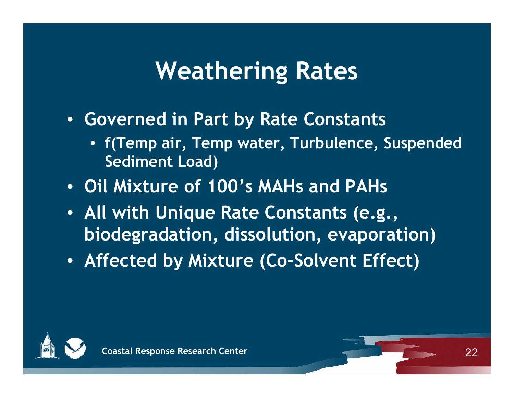#### **Weathering Rates**

- **Governed in Part by Rate Constants**
	- **f(Temp air, Temp water, Turbulence, Suspended Sediment Load)**
- **Oil Mixture of 100's MAHs and PAHs**
- **All with Unique Rate Constants (e.g., biodegradation, dissolution, evaporation)**
- **Affected by Mixture (Co-Solvent Effect)**



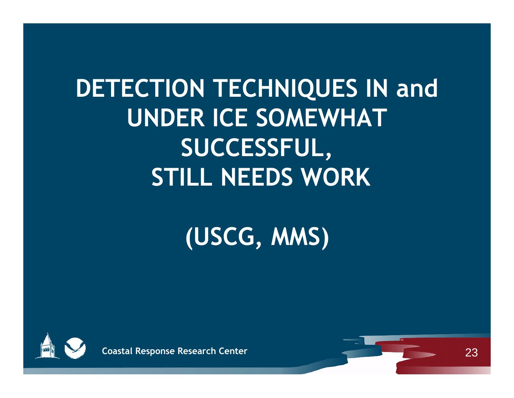# **DETECTION TECHNIQUES IN and UNDER ICE SOMEWHAT SUCCESSFUL, STILL NEEDS WORK**

# **(USCG, MMS)**



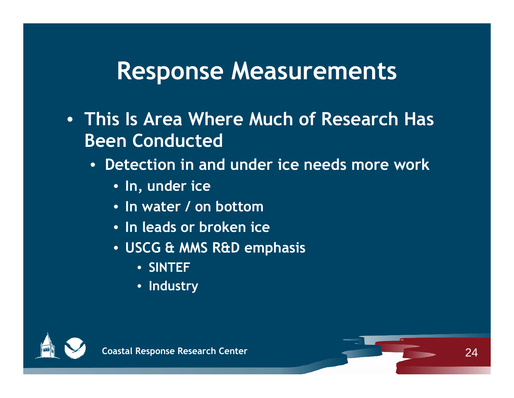#### **Response Measurements**

- **This Is Area Where Much of Research Has Been Conducted**
	- **Detection in and under ice needs more work** 
		- **In, under ice**
		- **In water / on bottom**
		- **I l d b k i In leads or broken ice**
		- **USCG & MMS R&D emphasis**
			- **SINTEF**
			- **Industry**



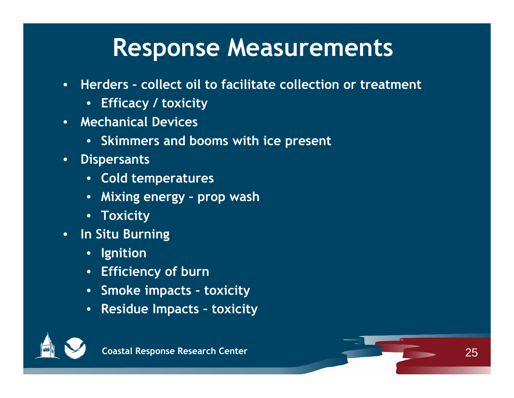#### **Response Measurements**

- • **Herders – collect oil to facilitate collection or treatment**
	- **Efficacy / toxicity**
- **Mechanical Devices**
	- **Skimmers and booms with ice present**
- • **Dispersants**
	- **•** Cold temperatures
	- **Mixing energy – prop wash**
	- **Toxicity**
- • **In Situ Burning**
	- **Ignition**
	- **Efficiency of burn**
	- **Smoke impacts – toxicity**
	- **Residue Impacts – toxicity**



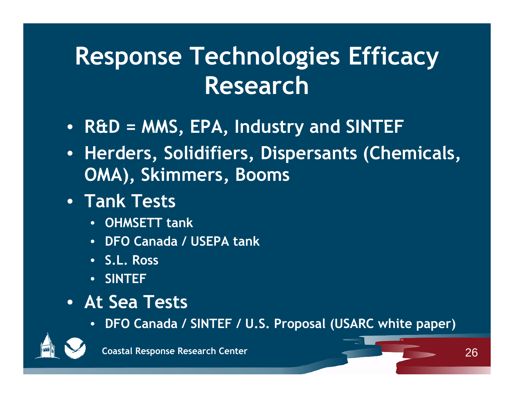# **Response Technologies Efficacy Research**

- $\bullet$  R&D = MMS, EPA, Industry and SINTEF
- **Herders, Solidifiers, Dispersants (Chemicals, OMA) Skimmers Booms , , Booms**
- **Tank Tests**
	- **OHMSETT tank**
	- **DFO Canada / USEPA tank**
	- **S.L. Ross**
	- **SINTEF**
- **At Sea Tests**
	- **DFO Canada / SINTEF / U S Proposal (USARC white paper) U.S. paper)**

26



**Coastal Response Research Center**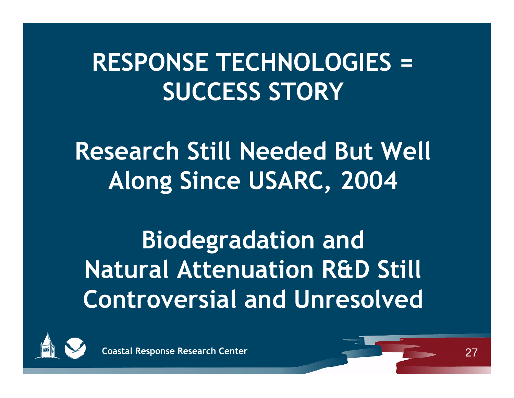## **RESPONSE TECHNOLOGIES = SUCCESS STORY**

**Research Still Needed But Well Along Since USARC, 2004** 

**Biodegradation and Natural Attenuation R&D Still Controversial and Unresolved**



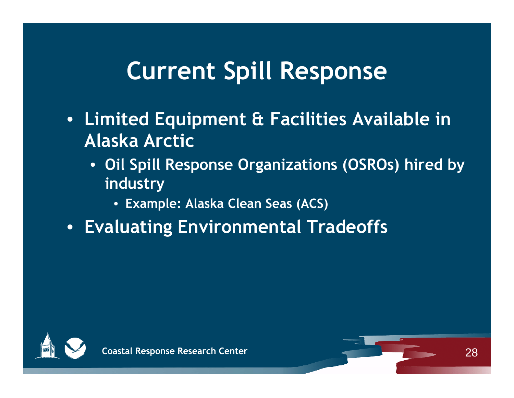#### **Current Spill Response**

- **Limited Equipment & Facilities Available in Alaska Arctic**
	- **Oil Spill Response Organizations (OSROs) hired by industry**
		- **Example: Alaska Clean Seas (ACS)**
- **Evaluating Environmental Tradeoffs**



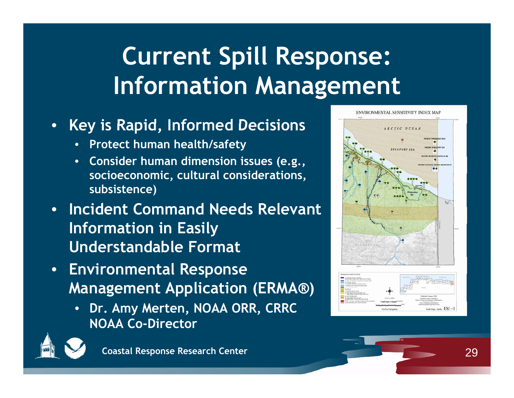# **Current Spill Response: Information Management**

- **Key is Rapid Informed Decisions is ,** 
	- •**Protect human health/safety**
	- **Consider human dimension issues (e.g., socioeconomic cultural considerations socioeconomic, considerations, subsistence)**
- **Incident Command Needs Relevant I f ti i E il In formation n Easil y Understandable Format**
- **Environmental Response Management Application (ERMA®)**
	- **Dr. Amy Merten, NOAA ORR, CRRC NOAA Co-Director**





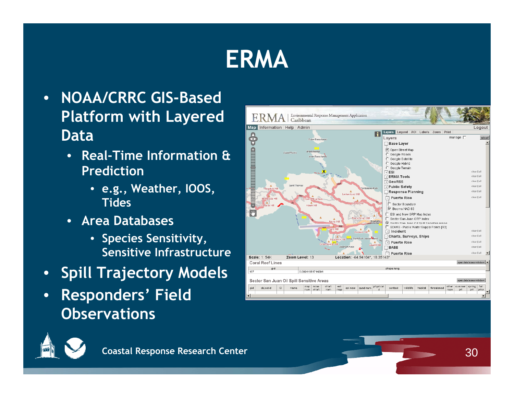#### **ERMA**

- • **NOAA/CRRC GIS-Based Platform with Layered Data**
	- • **Real-Time Information & Prediction** 
		- **e.g., Weather, IOOS, Tides**
	- **Area Databases**
		- **Species Sensitivity, Sensitive Infrastructure**
- •**Spill Trajectory Models**
- • **Responders' Field Observations**



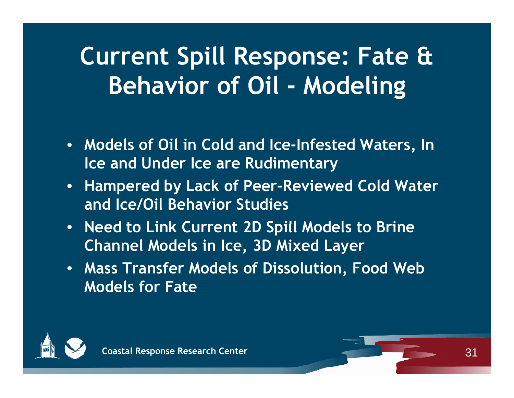# **Current Spill Response: Fate & Behavior of Oil - Modeling**

- **Models of Oil in Cold and Ice-Infested Waters, In Ice and Under Ice are Rudimentary**
- $\bullet$  **Hampered by Lack of Peer-Reviewed Cold Water and Ice/Oil Behavior Studies**
- Need to Link Current 2D Spill Models to Brine **Channel Models in Ice, 3D Mixed Layer**
- **Mass Transfer Models of Dissolution , Food Web Models for Fate**



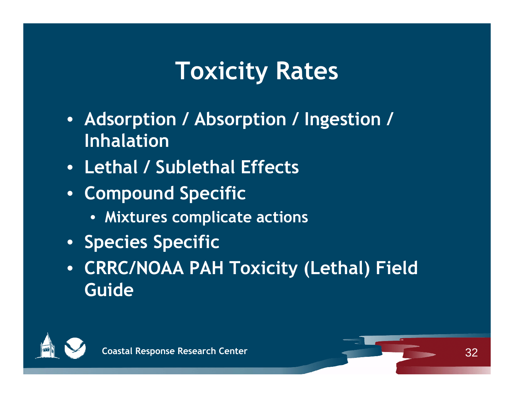## **Toxicity Rates**

- **Adsorption / Absorption / Ingestion / Inhalation**
- **Lethal / Sublethal Effects**
- **Compound Specific**
	- **Mixtures complicate actions**
- **Species Specific**
- **CRRC/NOAA PAH Toxicity (Lethal) Field Guide**



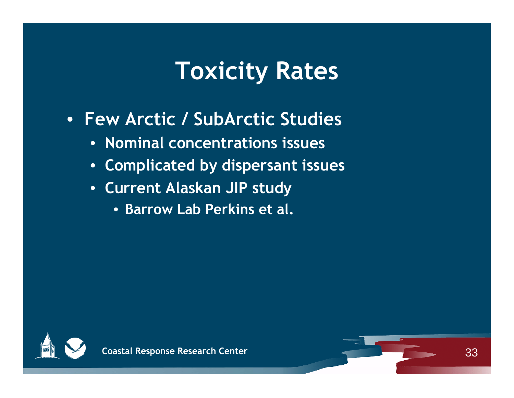#### **Toxicity Rates**

- **Few Arctic / SubArctic Studies**
	- **Nominal concentrations issues**
	- **Com p yp licated b y dis persant issues**
	- **Current Alaskan JIP study**
		- **Barrow Lab Perkins et al.**



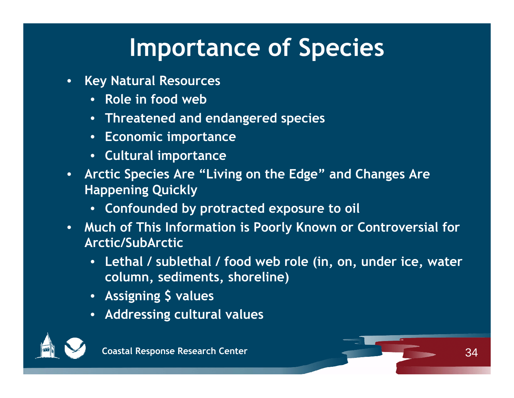## **Importance of Species**

- • **Key Natural Resources**
	- **Role in food web**
	- **Threatened and endan g p ered s pecies**
	- **Economic importance**
	- **Cultural importance**
- $\bullet$ • Arctic Species Are "Living on the Edge" and Changes Are **Happening Quickly**
	- **Confounded by protracted exposure to oil**
- •• Much of This Information is Poorly Known or Controversial for **Arctic/SubArctic**
	- **Lethal / sublethal / food web role (in, on, under ice, water col di t h li ) lumn, sedimen ts, s horeline**
	- **Assigning \$ values**
	- **Addressing cultural values**



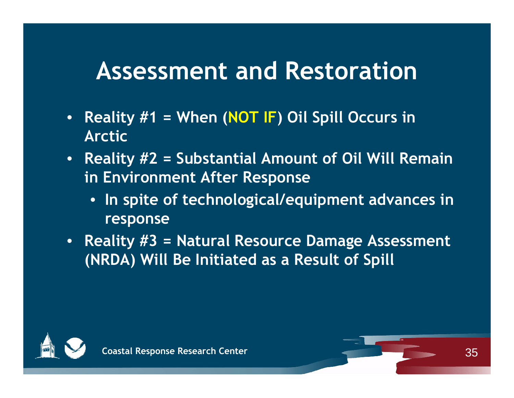#### **Assessment and Restoration**

- •• Reality #1 = When (NOT IF) Oil Spill Occurs in **Arctic**
- **Reality #2 = Substantial Amount of Oil Will Remain i E i t Aft R n Env ironment After Response**
	- **In spite of technological/equipment advances in**   $r$ **esponse**
- **Reality #3 = Natural Resource Damage Assessment (NRDA) Will Be Initiated as a Result of Spill**



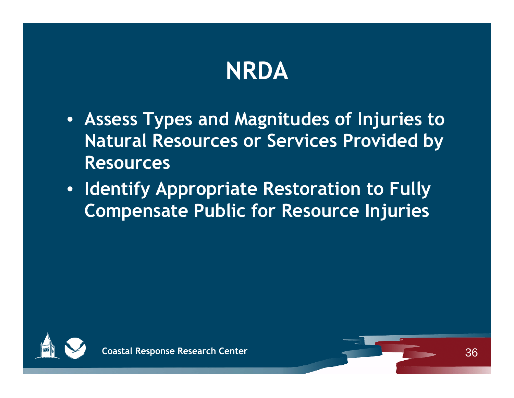# **NRDA**

- **Assess Types and Magnitudes of Injuries to Natural Resources or Services Provided by Resources**
- **Identify Appropriate Restoration to Fully Compensate Public for Resource Injuries**



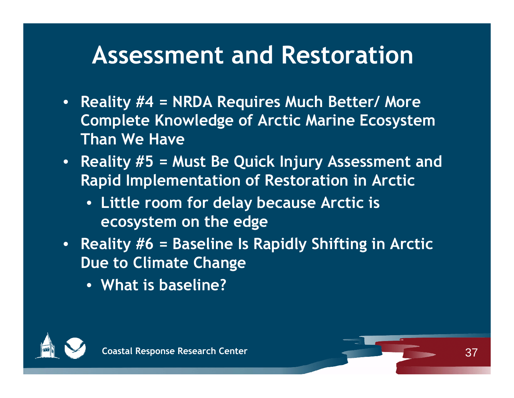#### **Assessment and Restoration**

- **Reality #4 = NRDA Requires Much Better/ More Complete Knowledge of Arctic Marine Ecosystem Than We Have**
- **Reality #5 = Must Be Quick Injury Assessment and Rapid Implementation of Restoration in Arctic** 
	- **Little room for delay because Arctic is ecosystem on the edge**
- • **Reality #6 = Baseline Is Rapidly Shifting in Arctic Due to Climate Change**
	- **What is baseline?**

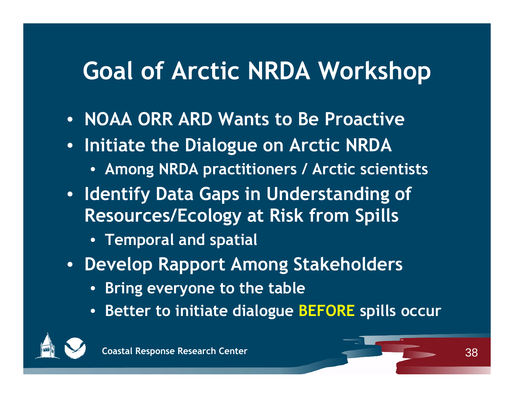#### **Goal of Arctic NRDA Workshop**

- **NOAA ORR ARD Wants to Be Proactive**
- **Initiate the Dialogue on Arctic NRDA**
	- **Among NRDA practitioners / Arctic scientists**
- **Identify Data Gaps in Understanding of Resources/Ecology p at Risk from S pills**
	- **Temporal and spatial**
- **Develop Rapport Among Stakeholders** 
	- **Bring everyone to the table**
	- **Better to initiate dialogue BEFORE spills occur**

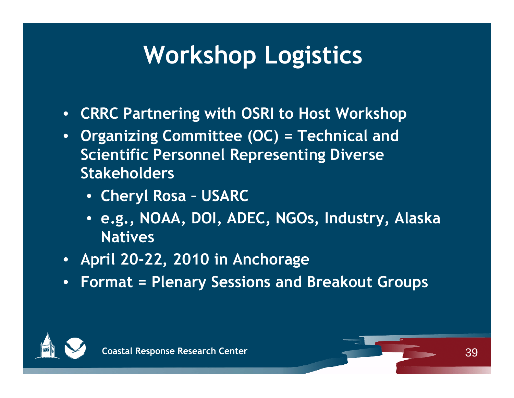# **Workshop Logistics**

- **CRRC Partnering with OSRI to Host Workshop**
- **Organizing Committee (OC) = Technical and Scientific Personnel Representing Diverse Stakeholders**
	- **Cheryl Rosa – USARC**
	- e.g., NOAA, DOI, ADEC, NGOs, Industry, Alaska **Natives**
- **April 20-22, 2010 in Anchorage**
- •**Format = Plenary Sessions and Breakout Groups**



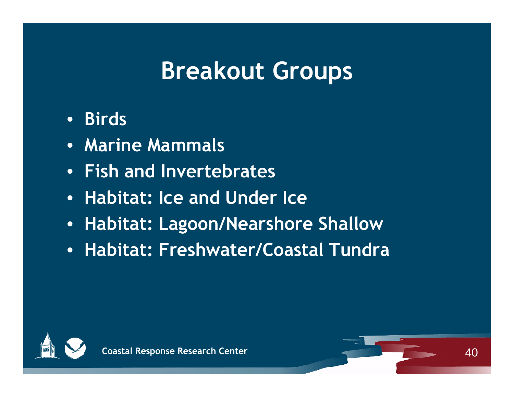#### **Breakout Groups**

- **Birds**
- **Marine Mammals**
- **Fish and Invertebrates**
- **Habitat: Ice and Under Ice**
- **Habitat: Lagoon/Nearshore Shallow**
- **Habitat: Freshwater/Coastal Tundra**



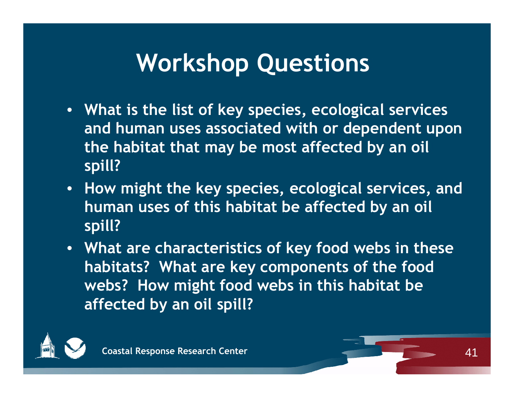#### **Workshop Questions**

- **What is the list of key species, ecological services and h i t d ith d d t d human uses associated with or dependent upon the habitat that may be most affected by an oil spill?**
- **How might the key species, ecological services, and human uses of this habitat be affected by an oil spill?**
- **What are characteristics of key food webs in these habitats? What are key components of the food webs? How might food webs in this habitat be affected by an oil spill?**

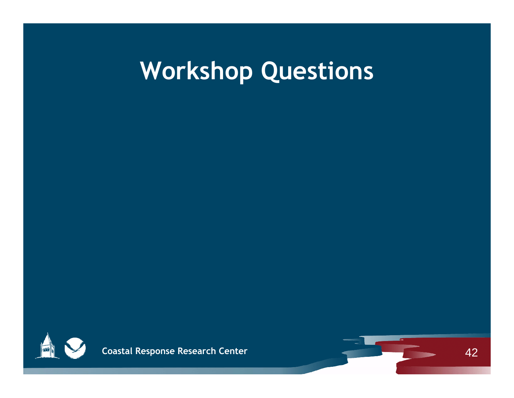## **Workshop Questions**



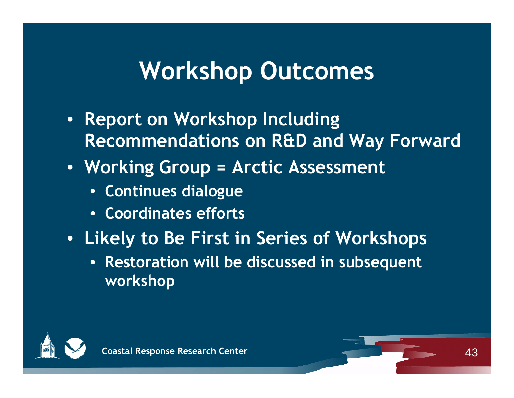#### **Workshop Outcomes**

- **Report on Workshop Including Recommendations on R&D and Way Forward**
- **Workin g p Grou p = Arctic Assessment** 
	- **Continues dialogue**
	- **Coordinates efforts**
- **Likely to Be First in Series of Workshops**
	- **Restoration will be discussed in subsequent workshop**



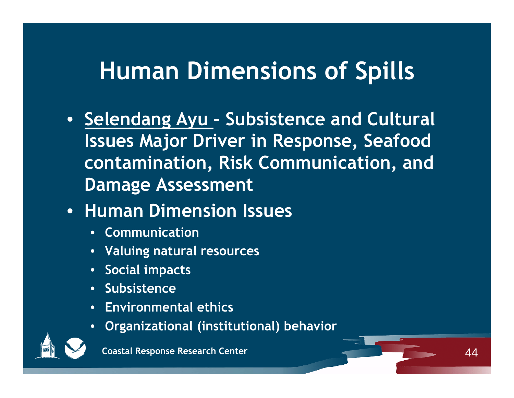#### **Human Dimensions of Spills**

• **Selendang Ayu – Subsistence and Cultural Issues Major Driver in Response, Seafood contamination, Risk Communication, and Damage Assessment**

 $\Delta\Delta$ 

- **Human Dimension Issues**
	- **Communication**
	- **Valuing natural resources**
	- **Social impacts**
	- **Subsistence**
	- **Environmental ethics**
	- **Organizational (institutional) behavior** •



**Coastal Response Research Center**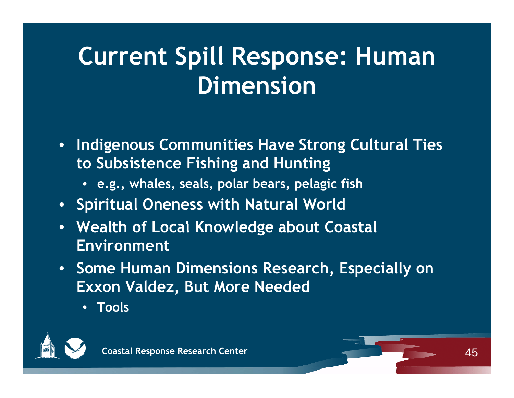# **Current Spill Response: Human Dimension**

- **Indigenous Communities Have Strong Cultural Ties to Subsistence Fishing and Hunting**
	- **e.g., whales, seals, polar bears, pelagic fish**
- **Spiritual Oneness with Natural World**
- Wealth of Local Knowledge about Coastal **Environment**
- **•** Some Human Dimensions Research, Especially on **Exxon Valdez, But More Needed**
	- **Tools**

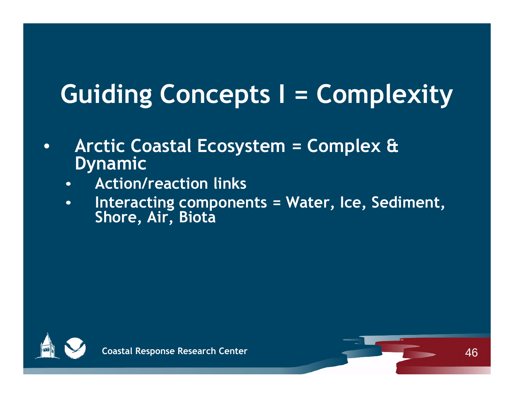# **Guiding Concepts I = Complexity**

- • **Arctic Coastal Ecosystem = Complex & Dynamic**
	- •**Action/reaction links**
	- • **Interacting components = Water, Ice, Sediment, Shore , , Air , Biota**



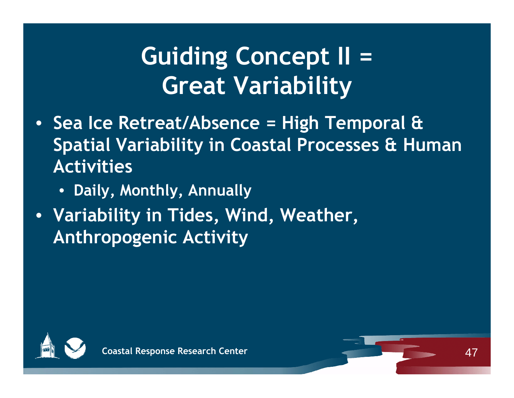# **Guiding Concept II = Great Variability**

- **Sea Ice Retreat/Absence = High Temporal & Spatial Variability in Coastal Processes & Human Activities**
	- **Daily, Monthly, Annually**
- **Variabilit y ,, , in Tides , Wind , Weather , Anthropogenic Activity**

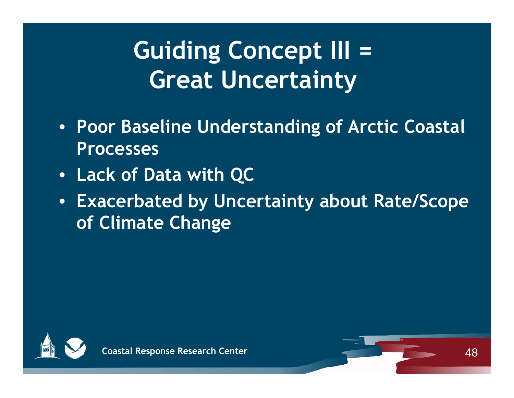# **Guiding Concept III = Great Uncertainty**

- **Poor Baseline Understanding of Arctic Coastal Processes**
- **Lack of Data with QC**
- **Exacerbated by Uncertainty about Rate/Scope of Climate Change**



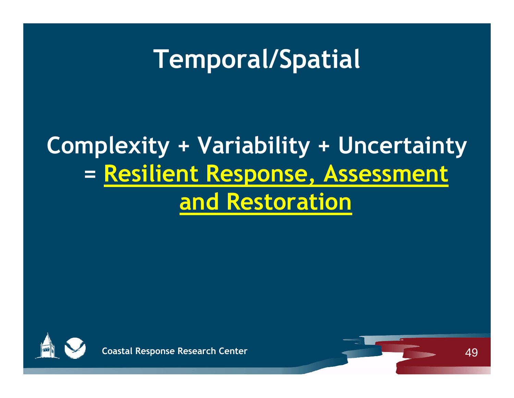### **Temporal/Spatial**

#### **Complexity + Variability + Uncertainty = Resilient Response Assessment , and Restoration**



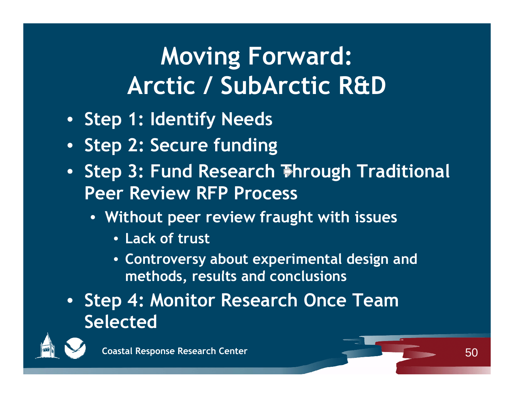# **Moving Forward: Arctic / SubArctic R&D**

- **Step 1: Identify Needs**
- **Step 2: Secure funding**
- **Step 3: Fund Research Through Traditional Peer Review RFP Process**
	- **Without p g eer review frau ght with issues**
		- **Lack of trust**
		- **Controversy about experimental design and methods results and conclusions methods, and**
- **Step 4: Monitor Research Once Team Selected**



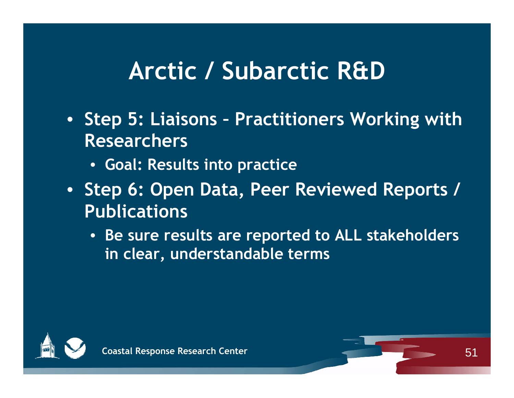#### **Arctic / Subarctic R&D**

- **Step 5: Liaisons Practitioners Working with Researchers**
	- **Goal: Results into practice**
- **Step 6: Open Data, Peer Reviewed Reports / Publications**
	- **Be sure results are reported to ALL stakeholders in clear, understandable terms**



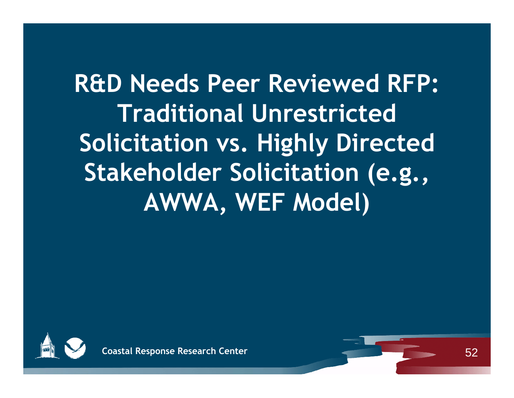**R&D Needs Peer Reviewed RFP: Traditional Unrestricted Solicitation vs. Highly Directed**  Stakeholder Solicitation (e.g., **AWWA, WEF Model)**



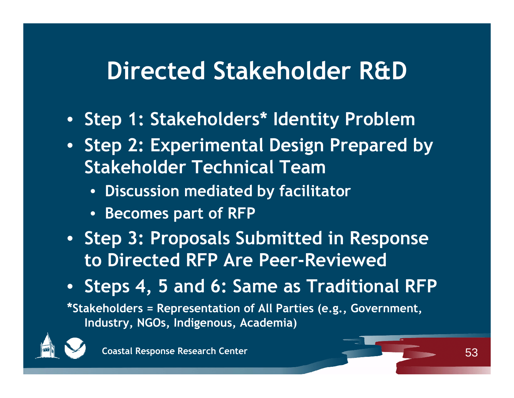#### **Directed Stakeholder R&D**

- **Step 1: Stakeholders 1: Stakeholders Identity Problem \***
- **Step 2: Experimental Design Prepared by Stakeholder Technical Team**
	- **Discussion mediated by facilitator**
	- **Becomes part of RFP**
- **Step 3: Proposals Submitted in Response to Directed RFP Are Peer-Reviewed**
- **Steps 4, 5 and 6: Same as Traditional RFP**

**\*Stakeholders = Representation of All Parties (e.g., Government, Industry NGOs Indigenous Academia) Industry, NGOs, Indigenous,** 



**Coastal Response Research Center**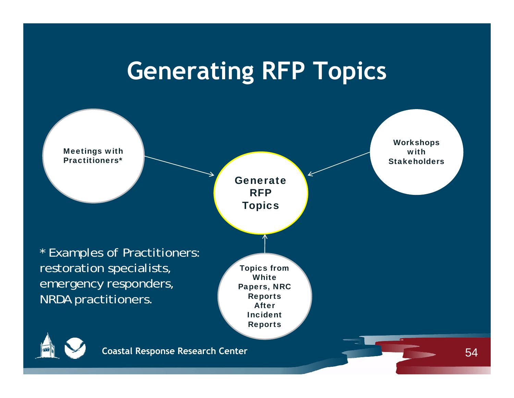#### **Generating RFP Topics**

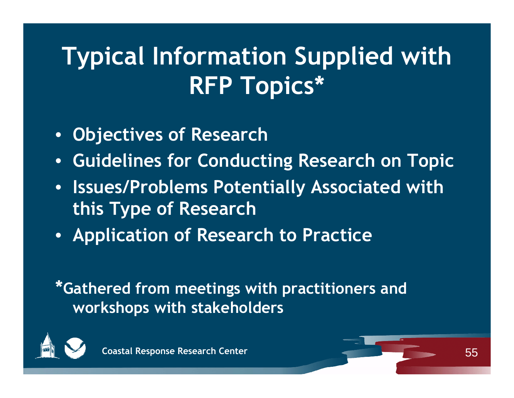# **Typical Information Supplied with RFP Topics\***

- **Objectives of Research**
- $\bullet$ **Guidelines for Conducting Research on Topic**
- $\bullet$  **Issues/Problems Potentially Associated with this Type of Research**
- $\bullet$ **Application of Research to Practice**

**\*Gathered from meetings with practitioners and workshops with stakeholders**



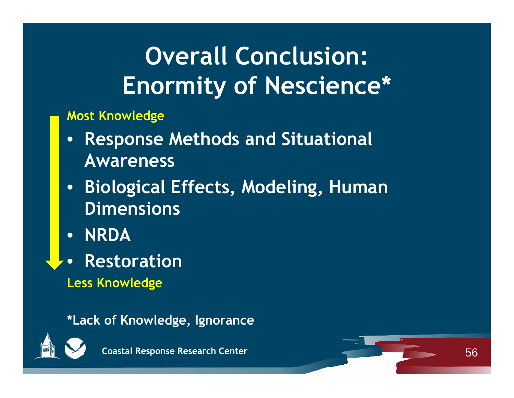# **Overall Conclusion: Enormity of Nescience\***

**Most Knowledge**

- $\bullet$  **Response Methods and Situational Awareness**
- $\bullet$  **Biological Effects, Modeling, Human Dimensions**
- $\bullet$ **NRDA**
- $\bullet$ **Restoration**
- **Less Knowledge**

**\*Lack of Knowledge, Ignorance**